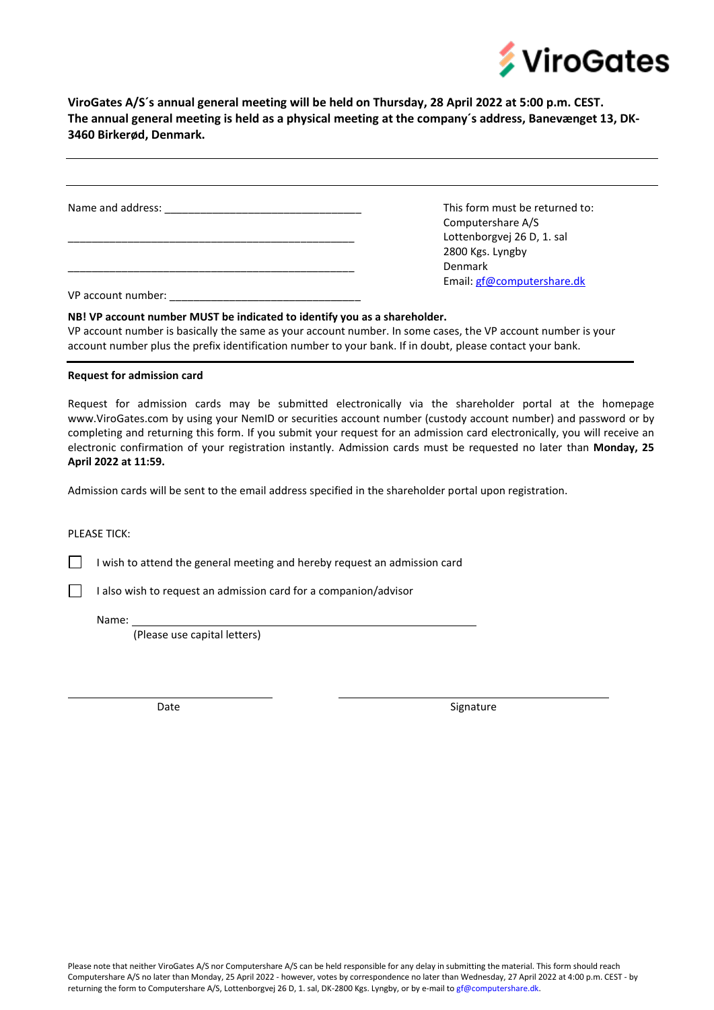

**ViroGates A/S´s annual general meeting will be held on Thursday, 28 April 2022 at 5:00 p.m. CEST. The annual general meeting is held as a physical meeting at the company´s address, Banevænget 13, DK-3460 Birkerød, Denmark.** 

| Name and address: <u>_________________________</u> | This form must be returned to: |
|----------------------------------------------------|--------------------------------|
|                                                    | Computershare A/S              |
|                                                    | Lottenborgvej 26 D, 1. sal     |
|                                                    | 2800 Kgs. Lyngby               |
|                                                    | <b>Denmark</b>                 |
|                                                    | Email: gf@computershare.dk     |
| VP account number:                                 |                                |

VP account number is basically the same as your account number. In some cases, the VP account number is your account number plus the prefix identification number to your bank. If in doubt, please contact your bank.

## **Request for admission card**

Request for admission cards may be submitted electronically via the shareholder portal at the homepage www.ViroGates.com by using your NemID or securities account number (custody account number) and password or by completing and returning this form. If you submit your request for an admission card electronically, you will receive an electronic confirmation of your registration instantly. Admission cards must be requested no later than **Monday, 25 April 2022 at 11:59.**

Admission cards will be sent to the email address specified in the shareholder portal upon registration.

PLEASE TICK:

 $\mathbf{I}$ 

 $\Box$ 

I wish to attend the general meeting and hereby request an admission card

I also wish to request an admission card for a companion/advisor

Name:

(Please use capital letters)

Date Signature